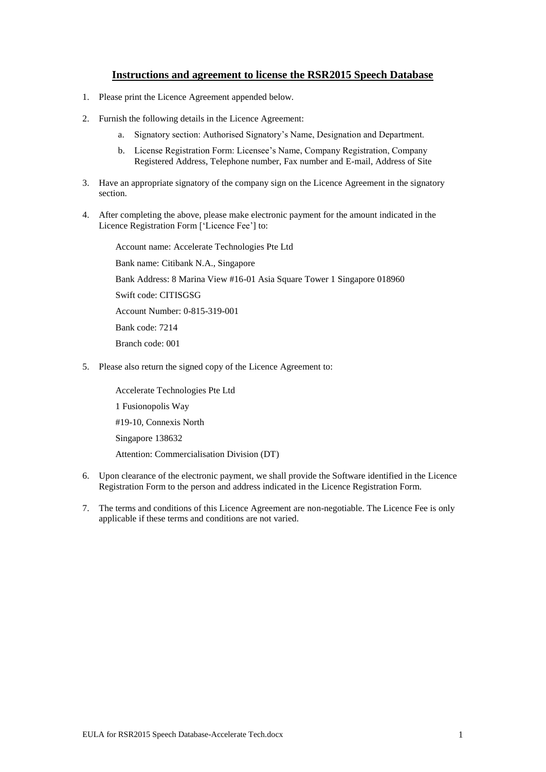# **Instructions and agreement to license the RSR2015 Speech Database**

- 1. Please print the Licence Agreement appended below.
- 2. Furnish the following details in the Licence Agreement:
	- a. Signatory section: Authorised Signatory's Name, Designation and Department.
	- b. License Registration Form: Licensee's Name, Company Registration, Company Registered Address, Telephone number, Fax number and E-mail, Address of Site
- 3. Have an appropriate signatory of the company sign on the Licence Agreement in the signatory section.
- 4. After completing the above, please make electronic payment for the amount indicated in the Licence Registration Form ['Licence Fee'] to:

Account name: Accelerate Technologies Pte Ltd Bank name: Citibank N.A., Singapore Bank Address: 8 Marina View #16-01 Asia Square Tower 1 Singapore 018960 Swift code: CITISGSG Account Number: 0-815-319-001 Bank code: 7214 Branch code: 001

5. Please also return the signed copy of the Licence Agreement to:

Accelerate Technologies Pte Ltd 1 Fusionopolis Way #19-10, Connexis North Singapore 138632 Attention: Commercialisation Division (DT)

- 6. Upon clearance of the electronic payment, we shall provide the Software identified in the Licence Registration Form to the person and address indicated in the Licence Registration Form.
- 7. The terms and conditions of this Licence Agreement are non-negotiable. The Licence Fee is only applicable if these terms and conditions are not varied.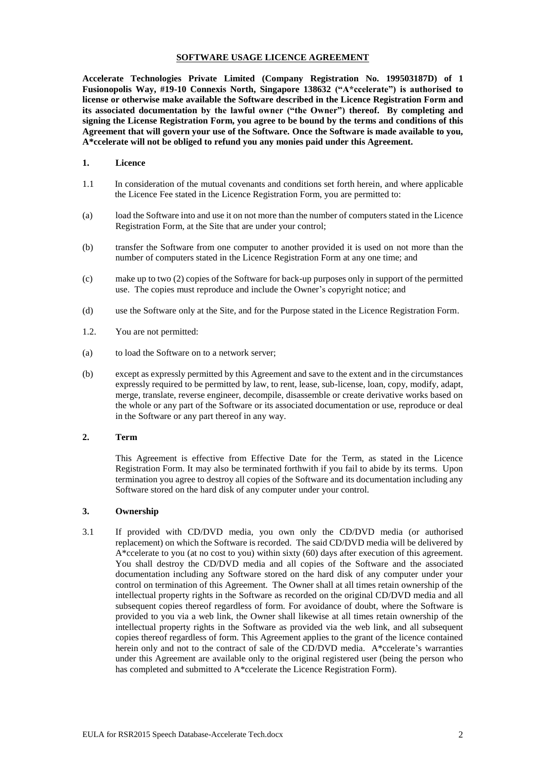#### **SOFTWARE USAGE LICENCE AGREEMENT**

**Accelerate Technologies Private Limited (Company Registration No. 199503187D) of 1 Fusionopolis Way, #19-10 Connexis North, Singapore 138632 ("A\*ccelerate") is authorised to license or otherwise make available the Software described in the Licence Registration Form and its associated documentation by the lawful owner ("the Owner") thereof. By completing and signing the License Registration Form, you agree to be bound by the terms and conditions of this Agreement that will govern your use of the Software. Once the Software is made available to you, A\*ccelerate will not be obliged to refund you any monies paid under this Agreement.** 

# **1. Licence**

- 1.1 In consideration of the mutual covenants and conditions set forth herein, and where applicable the Licence Fee stated in the Licence Registration Form, you are permitted to:
- (a) load the Software into and use it on not more than the number of computers stated in the Licence Registration Form, at the Site that are under your control;
- (b) transfer the Software from one computer to another provided it is used on not more than the number of computers stated in the Licence Registration Form at any one time; and
- (c) make up to two (2) copies of the Software for back-up purposes only in support of the permitted use. The copies must reproduce and include the Owner's copyright notice; and
- (d) use the Software only at the Site, and for the Purpose stated in the Licence Registration Form.
- 1.2. You are not permitted:
- (a) to load the Software on to a network server;
- (b) except as expressly permitted by this Agreement and save to the extent and in the circumstances expressly required to be permitted by law, to rent, lease, sub-license, loan, copy, modify, adapt, merge, translate, reverse engineer, decompile, disassemble or create derivative works based on the whole or any part of the Software or its associated documentation or use, reproduce or deal in the Software or any part thereof in any way.

#### **2. Term**

This Agreement is effective from Effective Date for the Term, as stated in the Licence Registration Form. It may also be terminated forthwith if you fail to abide by its terms. Upon termination you agree to destroy all copies of the Software and its documentation including any Software stored on the hard disk of any computer under your control.

## **3. Ownership**

3.1 If provided with CD/DVD media, you own only the CD/DVD media (or authorised replacement) on which the Software is recorded. The said CD/DVD media will be delivered by A\*ccelerate to you (at no cost to you) within sixty (60) days after execution of this agreement. You shall destroy the CD/DVD media and all copies of the Software and the associated documentation including any Software stored on the hard disk of any computer under your control on termination of this Agreement. The Owner shall at all times retain ownership of the intellectual property rights in the Software as recorded on the original CD/DVD media and all subsequent copies thereof regardless of form. For avoidance of doubt, where the Software is provided to you via a web link, the Owner shall likewise at all times retain ownership of the intellectual property rights in the Software as provided via the web link, and all subsequent copies thereof regardless of form. This Agreement applies to the grant of the licence contained herein only and not to the contract of sale of the CD/DVD media. A\*ccelerate's warranties under this Agreement are available only to the original registered user (being the person who has completed and submitted to A\*ccelerate the Licence Registration Form).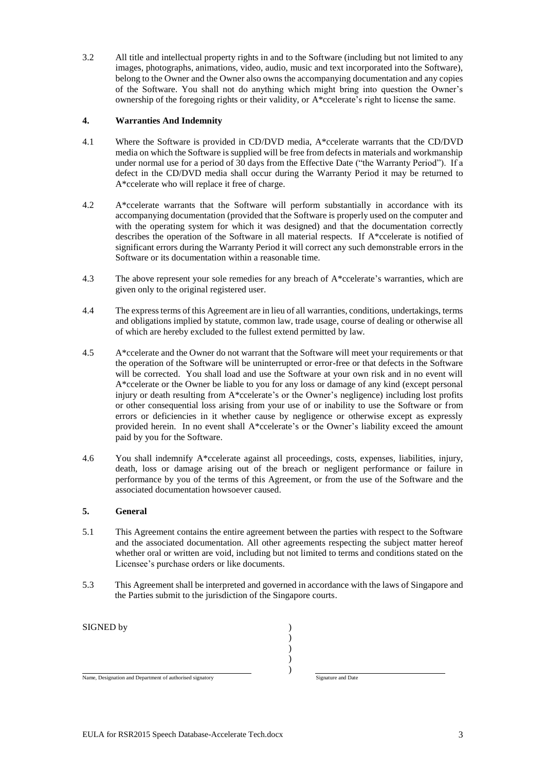3.2 All title and intellectual property rights in and to the Software (including but not limited to any images, photographs, animations, video, audio, music and text incorporated into the Software), belong to the Owner and the Owner also owns the accompanying documentation and any copies of the Software. You shall not do anything which might bring into question the Owner's ownership of the foregoing rights or their validity, or A\*ccelerate's right to license the same.

# **4. Warranties And Indemnity**

- 4.1 Where the Software is provided in CD/DVD media, A\*ccelerate warrants that the CD/DVD media on which the Software is supplied will be free from defects in materials and workmanship under normal use for a period of 30 days from the Effective Date ("the Warranty Period"). If a defect in the CD/DVD media shall occur during the Warranty Period it may be returned to A\*ccelerate who will replace it free of charge.
- 4.2 A\*ccelerate warrants that the Software will perform substantially in accordance with its accompanying documentation (provided that the Software is properly used on the computer and with the operating system for which it was designed) and that the documentation correctly describes the operation of the Software in all material respects. If A\*ccelerate is notified of significant errors during the Warranty Period it will correct any such demonstrable errors in the Software or its documentation within a reasonable time.
- 4.3 The above represent your sole remedies for any breach of  $A^*$ ccelerate's warranties, which are given only to the original registered user.
- 4.4 The express terms of this Agreement are in lieu of all warranties, conditions, undertakings, terms and obligations implied by statute, common law, trade usage, course of dealing or otherwise all of which are hereby excluded to the fullest extend permitted by law.
- 4.5 A\*ccelerate and the Owner do not warrant that the Software will meet your requirements or that the operation of the Software will be uninterrupted or error-free or that defects in the Software will be corrected. You shall load and use the Software at your own risk and in no event will A\*ccelerate or the Owner be liable to you for any loss or damage of any kind (except personal injury or death resulting from A\*ccelerate's or the Owner's negligence) including lost profits or other consequential loss arising from your use of or inability to use the Software or from errors or deficiencies in it whether cause by negligence or otherwise except as expressly provided herein. In no event shall A\*ccelerate's or the Owner's liability exceed the amount paid by you for the Software.
- 4.6 You shall indemnify A\*ccelerate against all proceedings, costs, expenses, liabilities, injury, death, loss or damage arising out of the breach or negligent performance or failure in performance by you of the terms of this Agreement, or from the use of the Software and the associated documentation howsoever caused.

## **5. General**

- 5.1 This Agreement contains the entire agreement between the parties with respect to the Software and the associated documentation. All other agreements respecting the subject matter hereof whether oral or written are void, including but not limited to terms and conditions stated on the Licensee's purchase orders or like documents.
- 5.3 This Agreement shall be interpreted and governed in accordance with the laws of Singapore and the Parties submit to the jurisdiction of the Singapore courts.

| SIGNED by                                                |                    |  |
|----------------------------------------------------------|--------------------|--|
|                                                          |                    |  |
|                                                          |                    |  |
|                                                          |                    |  |
|                                                          |                    |  |
| Name, Designation and Department of authorised signatory | Signature and Date |  |